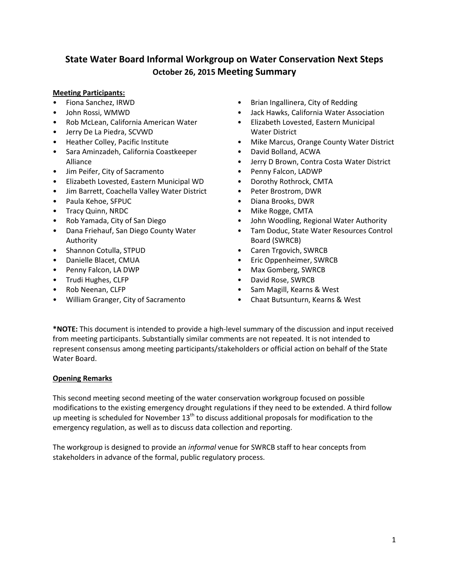# **State Water Board Informal Workgroup on Water Conservation Next Steps October 26, 2015 Meeting Summary**

# **Meeting Participants:**

- Fiona Sanchez, IRWD
- John Rossi, WMWD
- Rob McLean, California American Water
- Jerry De La Piedra, SCVWD
- Heather Colley, Pacific Institute
- Sara Aminzadeh, California Coastkeeper Alliance
- Jim Peifer, City of Sacramento
- Elizabeth Lovested, Eastern Municipal WD
- Jim Barrett, Coachella Valley Water District
- Paula Kehoe, SFPUC
- Tracy Quinn, NRDC
- Rob Yamada, City of San Diego
- Dana Friehauf, San Diego County Water Authority
- Shannon Cotulla, STPUD
- Danielle Blacet, CMUA
- Penny Falcon, LA DWP
- Trudi Hughes, CLFP
- Rob Neenan, CLFP
- William Granger, City of Sacramento
- Brian Ingallinera, City of Redding
- Jack Hawks, California Water Association
- Elizabeth Lovested, Eastern Municipal Water District
- Mike Marcus, Orange County Water District
- David Bolland, ACWA
- Jerry D Brown, Contra Costa Water District
- Penny Falcon, LADWP
- Dorothy Rothrock, CMTA
- Peter Brostrom, DWR
- Diana Brooks, DWR
- Mike Rogge, CMTA
- John Woodling, Regional Water Authority
- Tam Doduc, State Water Resources Control Board (SWRCB)
- Caren Trgovich, SWRCB
- Eric Oppenheimer, SWRCB
- Max Gomberg, SWRCB
- David Rose, SWRCB
- Sam Magill, Kearns & West
- Chaat Butsunturn, Kearns & West

**\*NOTE:** This document is intended to provide a high-level summary of the discussion and input received from meeting participants. Substantially similar comments are not repeated. It is not intended to represent consensus among meeting participants/stakeholders or official action on behalf of the State Water Board.

#### **Opening Remarks**

This second meeting second meeting of the water conservation workgroup focused on possible modifications to the existing emergency drought regulations if they need to be extended. A third follow up meeting is scheduled for November  $13<sup>th</sup>$  to discuss additional proposals for modification to the emergency regulation, as well as to discuss data collection and reporting.

The workgroup is designed to provide an *informal* venue for SWRCB staff to hear concepts from stakeholders in advance of the formal, public regulatory process.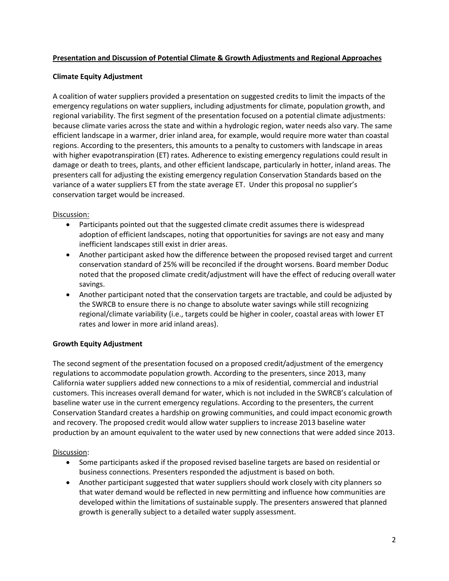# **Presentation and Discussion of Potential Climate & Growth Adjustments and Regional Approaches**

# **Climate Equity Adjustment**

A coalition of water suppliers provided a presentation on suggested credits to limit the impacts of the emergency regulations on water suppliers, including adjustments for climate, population growth, and regional variability. The first segment of the presentation focused on a potential climate adjustments: because climate varies across the state and within a hydrologic region, water needs also vary. The same efficient landscape in a warmer, drier inland area, for example, would require more water than coastal regions. According to the presenters, this amounts to a penalty to customers with landscape in areas with higher evapotranspiration (ET) rates. Adherence to existing emergency regulations could result in damage or death to trees, plants, and other efficient landscape, particularly in hotter, inland areas. The presenters call for adjusting the existing emergency regulation Conservation Standards based on the variance of a water suppliers ET from the state average ET. Under this proposal no supplier's conservation target would be increased.

# Discussion:

- Participants pointed out that the suggested climate credit assumes there is widespread adoption of efficient landscapes, noting that opportunities for savings are not easy and many inefficient landscapes still exist in drier areas.
- Another participant asked how the difference between the proposed revised target and current conservation standard of 25% will be reconciled if the drought worsens. Board member Doduc noted that the proposed climate credit/adjustment will have the effect of reducing overall water savings.
- Another participant noted that the conservation targets are tractable, and could be adjusted by the SWRCB to ensure there is no change to absolute water savings while still recognizing regional/climate variability (i.e., targets could be higher in cooler, coastal areas with lower ET rates and lower in more arid inland areas).

# **Growth Equity Adjustment**

The second segment of the presentation focused on a proposed credit/adjustment of the emergency regulations to accommodate population growth. According to the presenters, since 2013, many California water suppliers added new connections to a mix of residential, commercial and industrial customers. This increases overall demand for water, which is not included in the SWRCB's calculation of baseline water use in the current emergency regulations. According to the presenters, the current Conservation Standard creates a hardship on growing communities, and could impact economic growth and recovery. The proposed credit would allow water suppliers to increase 2013 baseline water production by an amount equivalent to the water used by new connections that were added since 2013.

#### Discussion:

- Some participants asked if the proposed revised baseline targets are based on residential or business connections. Presenters responded the adjustment is based on both.
- Another participant suggested that water suppliers should work closely with city planners so that water demand would be reflected in new permitting and influence how communities are developed within the limitations of sustainable supply. The presenters answered that planned growth is generally subject to a detailed water supply assessment.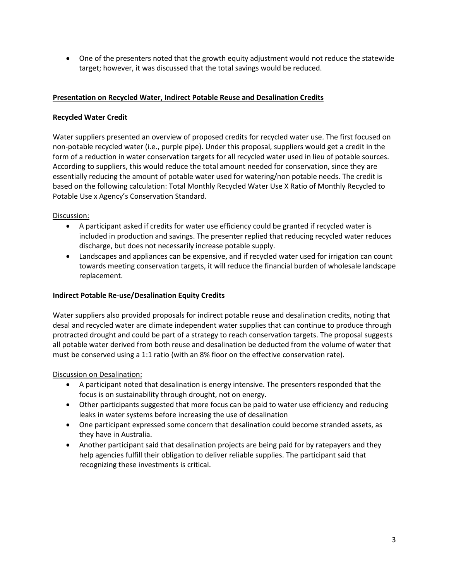One of the presenters noted that the growth equity adjustment would not reduce the statewide target; however, it was discussed that the total savings would be reduced.

# **Presentation on Recycled Water, Indirect Potable Reuse and Desalination Credits**

#### **Recycled Water Credit**

Water suppliers presented an overview of proposed credits for recycled water use. The first focused on non-potable recycled water (i.e., purple pipe). Under this proposal, suppliers would get a credit in the form of a reduction in water conservation targets for all recycled water used in lieu of potable sources. According to suppliers, this would reduce the total amount needed for conservation, since they are essentially reducing the amount of potable water used for watering/non potable needs. The credit is based on the following calculation: Total Monthly Recycled Water Use X Ratio of Monthly Recycled to Potable Use x Agency's Conservation Standard.

# Discussion:

- A participant asked if credits for water use efficiency could be granted if recycled water is included in production and savings. The presenter replied that reducing recycled water reduces discharge, but does not necessarily increase potable supply.
- Landscapes and appliances can be expensive, and if recycled water used for irrigation can count towards meeting conservation targets, it will reduce the financial burden of wholesale landscape replacement.

#### **Indirect Potable Re-use/Desalination Equity Credits**

Water suppliers also provided proposals for indirect potable reuse and desalination credits, noting that desal and recycled water are climate independent water supplies that can continue to produce through protracted drought and could be part of a strategy to reach conservation targets. The proposal suggests all potable water derived from both reuse and desalination be deducted from the volume of water that must be conserved using a 1:1 ratio (with an 8% floor on the effective conservation rate).

#### Discussion on Desalination:

- A participant noted that desalination is energy intensive. The presenters responded that the focus is on sustainability through drought, not on energy.
- Other participants suggested that more focus can be paid to water use efficiency and reducing leaks in water systems before increasing the use of desalination
- One participant expressed some concern that desalination could become stranded assets, as they have in Australia.
- Another participant said that desalination projects are being paid for by ratepayers and they help agencies fulfill their obligation to deliver reliable supplies. The participant said that recognizing these investments is critical.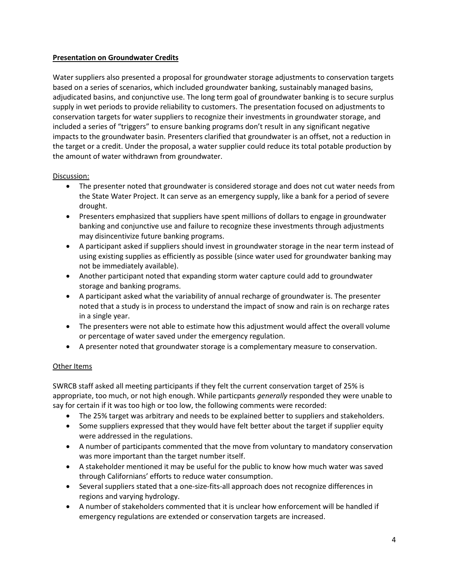# **Presentation on Groundwater Credits**

Water suppliers also presented a proposal for groundwater storage adjustments to conservation targets based on a series of scenarios, which included groundwater banking, sustainably managed basins, adjudicated basins, and conjunctive use. The long term goal of groundwater banking is to secure surplus supply in wet periods to provide reliability to customers. The presentation focused on adjustments to conservation targets for water suppliers to recognize their investments in groundwater storage, and included a series of "triggers" to ensure banking programs don't result in any significant negative impacts to the groundwater basin. Presenters clarified that groundwater is an offset, not a reduction in the target or a credit. Under the proposal, a water supplier could reduce its total potable production by the amount of water withdrawn from groundwater.

# Discussion:

- The presenter noted that groundwater is considered storage and does not cut water needs from the State Water Project. It can serve as an emergency supply, like a bank for a period of severe drought.
- Presenters emphasized that suppliers have spent millions of dollars to engage in groundwater banking and conjunctive use and failure to recognize these investments through adjustments may disincentivize future banking programs.
- A participant asked if suppliers should invest in groundwater storage in the near term instead of using existing supplies as efficiently as possible (since water used for groundwater banking may not be immediately available).
- Another participant noted that expanding storm water capture could add to groundwater storage and banking programs.
- A participant asked what the variability of annual recharge of groundwater is. The presenter noted that a study is in process to understand the impact of snow and rain is on recharge rates in a single year.
- The presenters were not able to estimate how this adjustment would affect the overall volume or percentage of water saved under the emergency regulation.
- A presenter noted that groundwater storage is a complementary measure to conservation.

# Other Items

SWRCB staff asked all meeting participants if they felt the current conservation target of 25% is appropriate, too much, or not high enough. While particpants *generally* responded they were unable to say for certain if it was too high or too low, the following comments were recorded:

- The 25% target was arbitrary and needs to be explained better to suppliers and stakeholders.
- Some suppliers expressed that they would have felt better about the target if supplier equity were addressed in the regulations.
- A number of participants commented that the move from voluntary to mandatory conservation was more important than the target number itself.
- A stakeholder mentioned it may be useful for the public to know how much water was saved through Californians' efforts to reduce water consumption.
- Several suppliers stated that a one-size-fits-all approach does not recognize differences in regions and varying hydrology.
- A number of stakeholders commented that it is unclear how enforcement will be handled if emergency regulations are extended or conservation targets are increased.